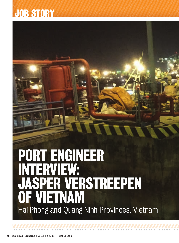# PORT ENGINEER INTERVIEW: JASPER VERSTREEPEN OF VIETNAM Hai Phong and Quang Ninh Provinces, Vietnam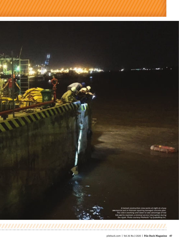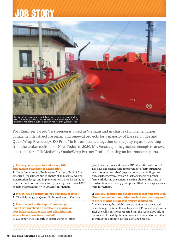

Port Engineer Jasper Verstreepen is based in Vietnam and in charge of implementation of marine infrastructure repair and renewal projects for a majority of the region. He and QuakeWrap President/CEO Prof. Mo Ehsani worked together on the jetty repairs resulting from the tanker collision of 2016. Today, in 2020, Mr. Verstreepen is gracious enough to answer questions for a PileMedic® by QuakeWrap Partner Profile focusing on international ports.

#### **Q: Please give us your formal name, title and current professional designation.**

**A:** Jasper Verstreepen, Engineering Manager, Head of Engineering Department and in charge of all marine and civil construction design and implementation works for an industrial zone and port infrastructure projects greater than 3,000 hectares (approximately 7,400 acres) in Vietnam.

**Q: Which city or county are you currently located? A:** The Haiphong and Quang Ninh provinces of Vietnam.

**Q: Please mention the type of projects you have been involved, in relation to marine or port infrastructure repair and rehabilitation. Where have these been located? A:** My experience is mostly in repair works of jetties (dolphin structures and vertical RC piles) after collisions. I also have experience with improvement of jetty structures due to 'outcoming rebar' (exposed rebar) and failing concrete surfaces, typically from a lack of spacers or proper formwork during the concrete casting phase at the time of construction, often many years prior. All of these experiences were in Vietnam.

#### **Q: Can you describe the repair project that you and Prof. Ehsani worked on, and what made it unique compared to other marine repair jobs you've worked on?**

**A:** Back in 2015, the dolphin structure of our jetty was seriously damaged after collision by a vessel. From a diving survey after the collision, it was reported that the vertical RC pile at the corner of the dolphin was broken, and several other piles, as well as the dolphin's surface contained cracks.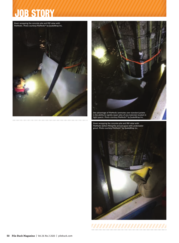

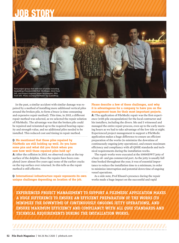

In the past, a similar accident with similar damage was repaired by a method of installing more additional vertical piles around the broken pile, to form a brace (a time consuming and expensive repair method). This time, in 2015, a different repair method was selected, as we selected the repair solution of PileMedic. The advantage was that the broken pile could be repaired and reinstated up to the required bearing capacity and strength value, and no additional piles needed to be installed. This reduced cost and timing in repair method.

#### **Q: Mo mentioned that those piles repaired by PileMedic are still holding up well. Do you have some pics and what did you think when you saw how well these repaired piles held up?**

**A:** After the collision in 2015, we observed cracks at the top surface of the dolphin. Since the repairs have been completed (now almost five years ago) none of the earlier cracks on the top surface ever returned. So this tells us the repair method is still effective.

**Q: International infrastructure repair represents its own unique challenges depending on location of the job.** 

**Please describe a few of these challenges, and why it is advantageous for a company to have you on the management team for their most important projects. A:** The application of PileMedic repair was the first experience (with pile encapsulation) for the local contractor and his installers, including the divers. Mo and I witnessed and managed the entire repair process, even up to the early morn-

ing hours as we had to take advantage of the low tide at night. Experienced project management to support a PileMedic application makes a huge difference to ensure an efficient preparation of the works (to minimize the downtime of continuously ongoing jetty operations), and ensure maximum efficiency and compliancy with all QSHE standards and technical requirements during the installation works.

The repair works were executed at the 10000DWT jetty of a busy oil- and gas commercial port. As the jetty is usually full time booked throughout the year, it was of essential importance to reduce the installation time to a minimum, in order to minimize interruption and potential down time of ongoing vessel operations.

As a side note, Prof Ehsani's presence during the repair works made a huge impact on the successful and rapid

**EXPERIENCED PROJECT MANAGEMENT TO SUPPORT A PILEMEDIC APPLICATION MAKES A HUGE DIFFERENCE TO ENSURE AN EFFICIENT PREPARATION OF THE WORKS (TO MINIMIZE THE DOWNTIME OF CONTINUOUSLY ONGOING JETTY OPERATIONS), AND ENSURE MAXIMUM EFFICIENCY AND COMPLIANCY WITH ALL QSHE STANDARDS AND TECHNICAL REQUIREMENTS DURING THE INSTALLATION WORKS.**